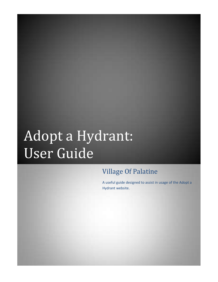## Adopt a Hydrant: User Guide

## Village Of Palatine

A useful guide designed to assist in usage of the Adopt a Hydrant website.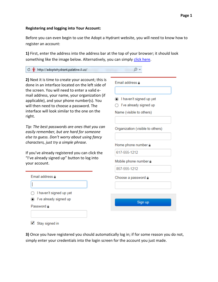## **Registering and logging into Your Account:**

Before you can even begin to use the Adopt a Hydrant website, you will need to know how to register an account:

**1)** First, enter the address into the address bar at the top of your browser; it should look something like the image below. Alternatively, you can simply [click here.](http://adoptahydrant.palatine.il.us/)

| to 'i' http://adoptahydrant.palatine.il.us/                                                                                                                                                                                                                                                                                                          |                                                                                                  |
|------------------------------------------------------------------------------------------------------------------------------------------------------------------------------------------------------------------------------------------------------------------------------------------------------------------------------------------------------|--------------------------------------------------------------------------------------------------|
| 2) Next it is time to create your account; this is<br>done in an interface located on the left side of<br>the screen. You will need to enter a valid e-<br>mail address, your name, your organization (if<br>applicable), and your phone number(s). You<br>will then need to choose a password. The<br>interface will look similar to the one on the | Email address a<br>I haven't signed up yet<br>I've already signed up<br>Name (visible to others) |
| right.<br>Tip: The best passwords are ones that you can<br>easily remember, but are hard for someone<br>else to guess. Don't worry about using fancy<br>characters, just try a simple phrase.                                                                                                                                                        | Organization (visible to others)<br>Home phone number a                                          |
| If you've already registered you can click the<br>"I've already signed up" button to log into<br>your account.                                                                                                                                                                                                                                       | 617-555-1212<br>Mobile phone number a<br>857-555-1212                                            |
| Email address a<br>I haven't signed up yet<br>I've already signed up<br>Password a                                                                                                                                                                                                                                                                   | Choose a password a<br>Sign up                                                                   |
| and the state of the state of the                                                                                                                                                                                                                                                                                                                    |                                                                                                  |

 $\blacksquare$  Stay signed in

**3)** Once you have registered you should automatically log in; if for some reason you do not, simply enter your credentials into the login screen for the account you just made.